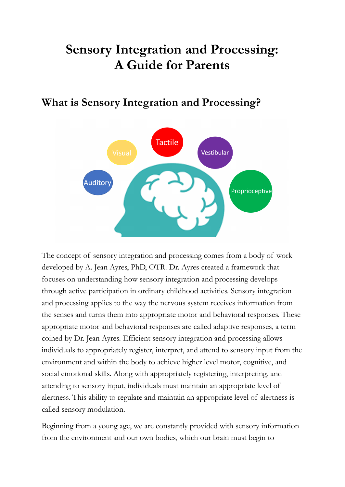# **Sensory Integration and Processing: A Guide for Parents**

## **What is Sensory Integration and Processing?**



The concept of sensory integration and processing comes from a body of work developed by A. Jean Ayres, PhD, OTR. Dr. Ayres created a framework that focuses on understanding how sensory integration and processing develops through active participation in ordinary childhood activities. Sensory integration and processing applies to the way the nervous system receives information from the senses and turns them into appropriate motor and behavioral responses. These appropriate motor and behavioral responses are called adaptive responses, a term coined by Dr. Jean Ayres. Efficient sensory integration and processing allows individuals to appropriately register, interpret, and attend to sensory input from the environment and within the body to achieve higher level motor, cognitive, and social emotional skills. Along with appropriately registering, interpreting, and attending to sensory input, individuals must maintain an appropriate level of alertness. This ability to regulate and maintain an appropriate level of alertness is called sensory modulation.

Beginning from a young age, we are constantly provided with sensory information from the environment and our own bodies, which our brain must begin to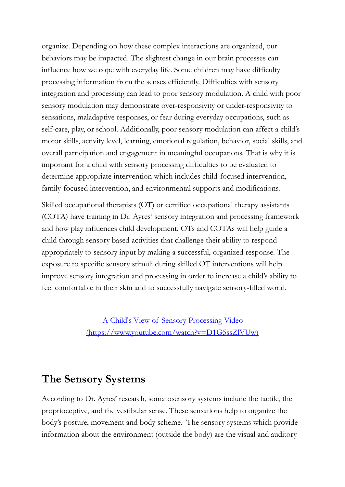organize. Depending on how these complex interactions are organized, our behaviors may be impacted. The slightest change in our brain processes can influence how we cope with everyday life. Some children may have difficulty processing information from the senses efficiently. Difficulties with sensory integration and processing can lead to poor sensory modulation. A child with poor sensory modulation may demonstrate over-responsivity or under-responsivity to sensations, maladaptive responses, or fear during everyday occupations, such as self-care, play, or school. Additionally, poor sensory modulation can affect a child's motor skills, activity level, learning, emotional regulation, behavior, social skills, and overall participation and engagement in meaningful occupations. That is why it is important for a child with sensory processing difficulties to be evaluated to determine appropriate intervention which includes child-focused intervention, family-focused intervention, and environmental supports and modifications.

Skilled occupational therapists (OT) or certified occupational therapy assistants (COTA) have training in Dr. Ayres' sensory integration and processing framework and how play influences child development. OTs and COTAs will help guide a child through sensory based activities that challenge their ability to respond appropriately to sensory input by making a successful, organized response. The exposure to specific sensory stimuli during skilled OT interventions will help improve sensory integration and processing in order to increase a child's ability to feel comfortable in their skin and to successfully navigate sensory-filled world.

> A Child's View of Sensory [Processing](https://www.youtube.com/watch?v=D1G5ssZlVUw) Video [\(https://www.youtube.com/watch?v=D1G5ssZlVUw\)](https://www.youtube.com/watch?v=D1G5ssZlVUw)

### **The Sensory Systems**

According to Dr. Ayres' research, somatosensory systems include the tactile, the proprioceptive, and the vestibular sense. These sensations help to organize the body's posture, movement and body scheme. The sensory systems which provide information about the environment (outside the body) are the visual and auditory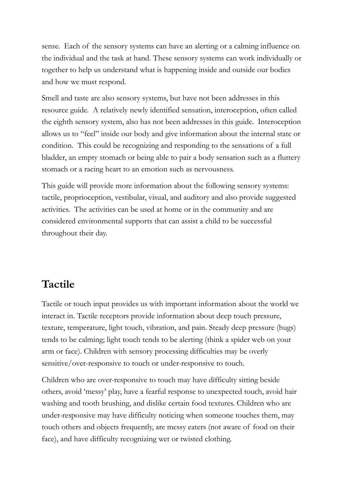sense. Each of the sensory systems can have an alerting or a calming influence on the individual and the task at hand. These sensory systems can work individually or together to help us understand what is happening inside and outside our bodies and how we must respond.

Smell and taste are also sensory systems, but have not been addresses in this resource guide. A relatively newly identified sensation, interoception, often called the eighth sensory system, also has not been addresses in this guide. Interoception allows us to "feel" inside our body and give information about the internal state or condition. This could be recognizing and responding to the sensations of a full bladder, an empty stomach or being able to pair a body sensation such as a fluttery stomach or a racing heart to an emotion such as nervousness.

This guide will provide more information about the following sensory systems: tactile, proprioception, vestibular, visual, and auditory and also provide suggested activities. The activities can be used at home or in the community and are considered environmental supports that can assist a child to be successful throughout their day.

## **Tactile**

Tactile or touch input provides us with important information about the world we interact in. Tactile receptors provide information about deep touch pressure, texture, temperature, light touch, vibration, and pain. Steady deep pressure (hugs) tends to be calming; light touch tends to be alerting (think a spider web on your arm or face). Children with sensory processing difficulties may be overly sensitive/over-responsive to touch or under-responsive to touch.

Children who are over-responsive to touch may have difficulty sitting beside others, avoid 'messy' play, have a fearful response to unexpected touch, avoid hair washing and tooth brushing, and dislike certain food textures. Children who are under-responsive may have difficulty noticing when someone touches them, may touch others and objects frequently, are messy eaters (not aware of food on their face), and have difficulty recognizing wet or twisted clothing.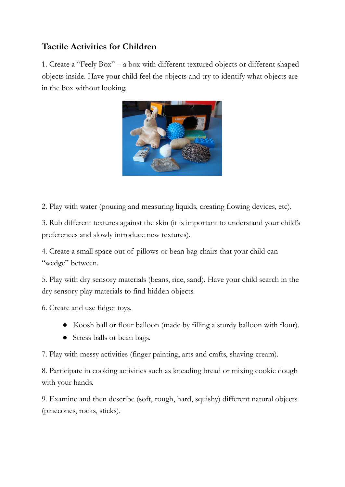#### **Tactile Activities for Children**

1. Create a "Feely Box" – a box with different textured objects or different shaped objects inside. Have your child feel the objects and try to identify what objects are in the box without looking.



2. Play with water (pouring and measuring liquids, creating flowing devices, etc).

3. Rub different textures against the skin (it is important to understand your child's preferences and slowly introduce new textures).

4. Create a small space out of pillows or bean bag chairs that your child can "wedge" between.

5. Play with dry sensory materials (beans, rice, sand). Have your child search in the dry sensory play materials to find hidden objects.

6. Create and use fidget toys.

- Koosh ball or flour balloon (made by filling a sturdy balloon with flour).
- Stress balls or bean bags.

7. Play with messy activities (finger painting, arts and crafts, shaving cream).

8. Participate in cooking activities such as kneading bread or mixing cookie dough with your hands.

9. Examine and then describe (soft, rough, hard, squishy) different natural objects (pinecones, rocks, sticks).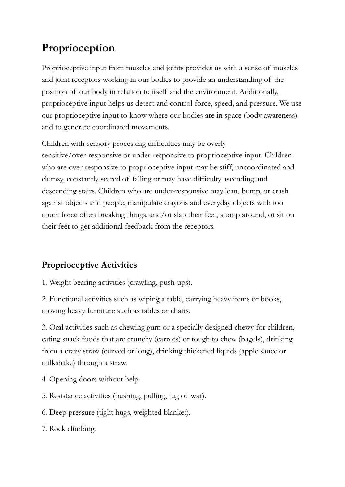## **Proprioception**

Proprioceptive input from muscles and joints provides us with a sense of muscles and joint receptors working in our bodies to provide an understanding of the position of our body in relation to itself and the environment. Additionally, proprioceptive input helps us detect and control force, speed, and pressure. We use our proprioceptive input to know where our bodies are in space (body awareness) and to generate coordinated movements.

Children with sensory processing difficulties may be overly sensitive/over-responsive or under-responsive to proprioceptive input. Children who are over-responsive to proprioceptive input may be stiff, uncoordinated and clumsy, constantly scared of falling or may have difficulty ascending and descending stairs. Children who are under-responsive may lean, bump, or crash against objects and people, manipulate crayons and everyday objects with too much force often breaking things, and/or slap their feet, stomp around, or sit on their feet to get additional feedback from the receptors.

## **Proprioceptive Activities**

1. Weight bearing activities (crawling, push-ups).

2. Functional activities such as wiping a table, carrying heavy items or books, moving heavy furniture such as tables or chairs.

3. Oral activities such as chewing gum or a specially designed chewy for children, eating snack foods that are crunchy (carrots) or tough to chew (bagels), drinking from a crazy straw (curved or long), drinking thickened liquids (apple sauce or milkshake) through a straw.

- 4. Opening doors without help.
- 5. Resistance activities (pushing, pulling, tug of war).
- 6. Deep pressure (tight hugs, weighted blanket).
- 7. Rock climbing.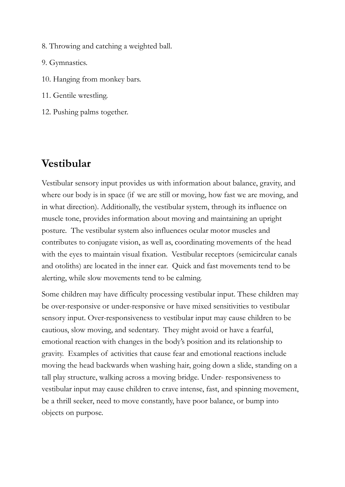- 8. Throwing and catching a weighted ball.
- 9. Gymnastics.
- 10. Hanging from monkey bars.
- 11. Gentile wrestling.
- 12. Pushing palms together.

## **Vestibular**

Vestibular sensory input provides us with information about balance, gravity, and where our body is in space (if we are still or moving, how fast we are moving, and in what direction). Additionally, the vestibular system, through its influence on muscle tone, provides information about moving and maintaining an upright posture. The vestibular system also influences ocular motor muscles and contributes to conjugate vision, as well as, coordinating movements of the head with the eyes to maintain visual fixation. Vestibular receptors (semicircular canals and otoliths) are located in the inner ear. Quick and fast movements tend to be alerting, while slow movements tend to be calming.

Some children may have difficulty processing vestibular input. These children may be over-responsive or under-responsive or have mixed sensitivities to vestibular sensory input. Over-responsiveness to vestibular input may cause children to be cautious, slow moving, and sedentary. They might avoid or have a fearful, emotional reaction with changes in the body's position and its relationship to gravity. Examples of activities that cause fear and emotional reactions include moving the head backwards when washing hair, going down a slide, standing on a tall play structure, walking across a moving bridge. Under- responsiveness to vestibular input may cause children to crave intense, fast, and spinning movement, be a thrill seeker, need to move constantly, have poor balance, or bump into objects on purpose.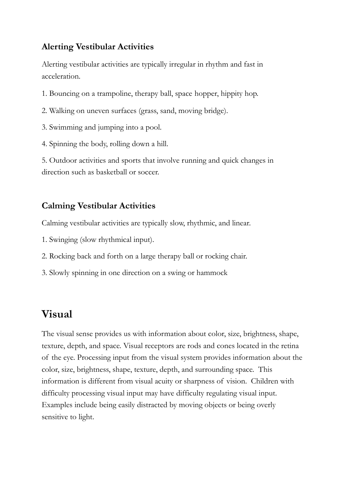#### **Alerting Vestibular Activities**

Alerting vestibular activities are typically irregular in rhythm and fast in acceleration.

- 1. Bouncing on a trampoline, therapy ball, space hopper, hippity hop.
- 2. Walking on uneven surfaces (grass, sand, moving bridge).
- 3. Swimming and jumping into a pool.
- 4. Spinning the body, rolling down a hill.

5. Outdoor activities and sports that involve running and quick changes in direction such as basketball or soccer.

#### **Calming Vestibular Activities**

Calming vestibular activities are typically slow, rhythmic, and linear.

- 1. Swinging (slow rhythmical input).
- 2. Rocking back and forth on a large therapy ball or rocking chair.
- 3. Slowly spinning in one direction on a swing or hammock

## **Visual**

The visual sense provides us with information about color, size, brightness, shape, texture, depth, and space. Visual receptors are rods and cones located in the retina of the eye. Processing input from the visual system provides information about the color, size, brightness, shape, texture, depth, and surrounding space. This information is different from visual acuity or sharpness of vision. Children with difficulty processing visual input may have difficulty regulating visual input. Examples include being easily distracted by moving objects or being overly sensitive to light.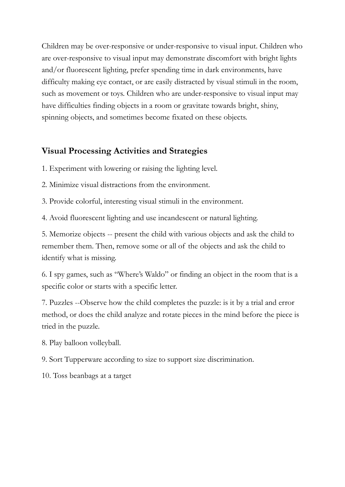Children may be over-responsive or under-responsive to visual input. Children who are over-responsive to visual input may demonstrate discomfort with bright lights and/or fluorescent lighting, prefer spending time in dark environments, have difficulty making eye contact, or are easily distracted by visual stimuli in the room, such as movement or toys. Children who are under-responsive to visual input may have difficulties finding objects in a room or gravitate towards bright, shiny, spinning objects, and sometimes become fixated on these objects.

#### **Visual Processing Activities and Strategies**

1. Experiment with lowering or raising the lighting level.

2. Minimize visual distractions from the environment.

3. Provide colorful, interesting visual stimuli in the environment.

4. Avoid fluorescent lighting and use incandescent or natural lighting.

5. Memorize objects -- present the child with various objects and ask the child to remember them. Then, remove some or all of the objects and ask the child to identify what is missing.

6. I spy games, such as "Where's Waldo" or finding an object in the room that is a specific color or starts with a specific letter.

7. Puzzles --Observe how the child completes the puzzle: is it by a trial and error method, or does the child analyze and rotate pieces in the mind before the piece is tried in the puzzle.

8. Play balloon volleyball.

9. Sort Tupperware according to size to support size discrimination.

10. Toss beanbags at a target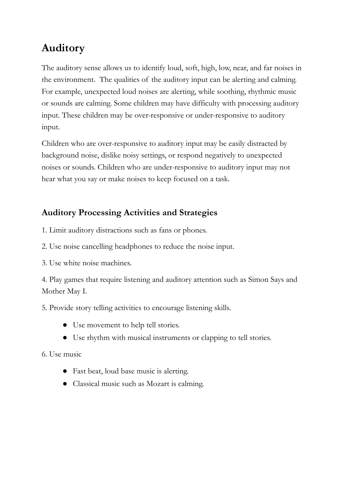## **Auditory**

The auditory sense allows us to identify loud, soft, high, low, near, and far noises in the environment. The qualities of the auditory input can be alerting and calming. For example, unexpected loud noises are alerting, while soothing, rhythmic music or sounds are calming. Some children may have difficulty with processing auditory input. These children may be over-responsive or under-responsive to auditory input.

Children who are over-responsive to auditory input may be easily distracted by background noise, dislike noisy settings, or respond negatively to unexpected noises or sounds. Children who are under-responsive to auditory input may not hear what you say or make noises to keep focused on a task.

#### **Auditory Processing Activities and Strategies**

- 1. Limit auditory distractions such as fans or phones.
- 2. Use noise cancelling headphones to reduce the noise input.
- 3. Use white noise machines.

4. Play games that require listening and auditory attention such as Simon Says and Mother May I.

5. Provide story telling activities to encourage listening skills.

- Use movement to help tell stories.
- Use rhythm with musical instruments or clapping to tell stories.

6. Use music

- Fast beat, loud base music is alerting.
- Classical music such as Mozart is calming.